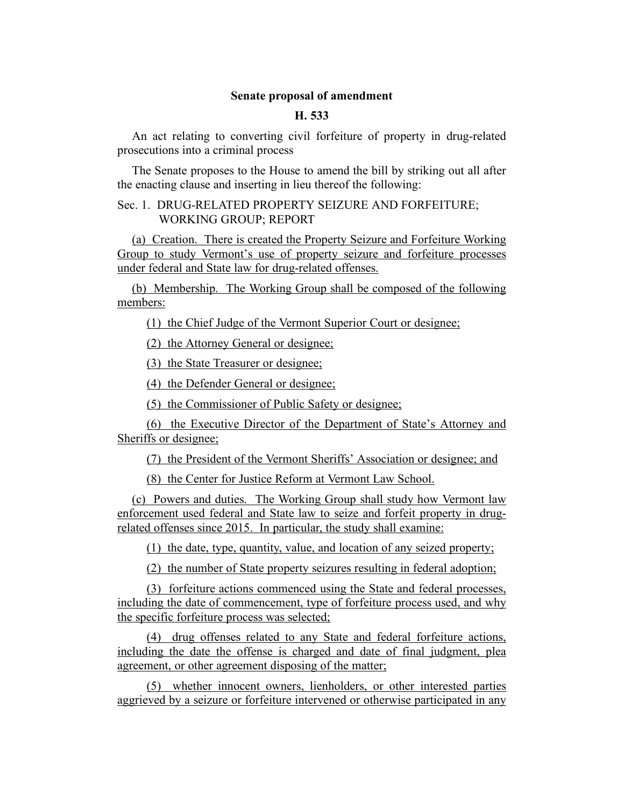## **Senate proposal of amendment**

## **H. 533**

An act relating to converting civil forfeiture of property in drug-related prosecutions into a criminal process

The Senate proposes to the House to amend the bill by striking out all after the enacting clause and inserting in lieu thereof the following:

## Sec. 1. DRUG-RELATED PROPERTY SEIZURE AND FORFEITURE; WORKING GROUP; REPORT

(a) Creation. There is created the Property Seizure and Forfeiture Working Group to study Vermont's use of property seizure and forfeiture processes under federal and State law for drug-related offenses.

(b) Membership. The Working Group shall be composed of the following members:

(1) the Chief Judge of the Vermont Superior Court or designee;

(2) the Attorney General or designee;

(3) the State Treasurer or designee;

(4) the Defender General or designee;

(5) the Commissioner of Public Safety or designee;

(6) the Executive Director of the Department of State's Attorney and Sheriffs or designee;

(7) the President of the Vermont Sheriffs' Association or designee; and

(8) the Center for Justice Reform at Vermont Law School.

(c) Powers and duties. The Working Group shall study how Vermont law enforcement used federal and State law to seize and forfeit property in drugrelated offenses since 2015. In particular, the study shall examine:

(1) the date, type, quantity, value, and location of any seized property;

(2) the number of State property seizures resulting in federal adoption;

(3) forfeiture actions commenced using the State and federal processes, including the date of commencement, type of forfeiture process used, and why the specific forfeiture process was selected;

(4) drug offenses related to any State and federal forfeiture actions, including the date the offense is charged and date of final judgment, plea agreement, or other agreement disposing of the matter;

(5) whether innocent owners, lienholders, or other interested parties aggrieved by a seizure or forfeiture intervened or otherwise participated in any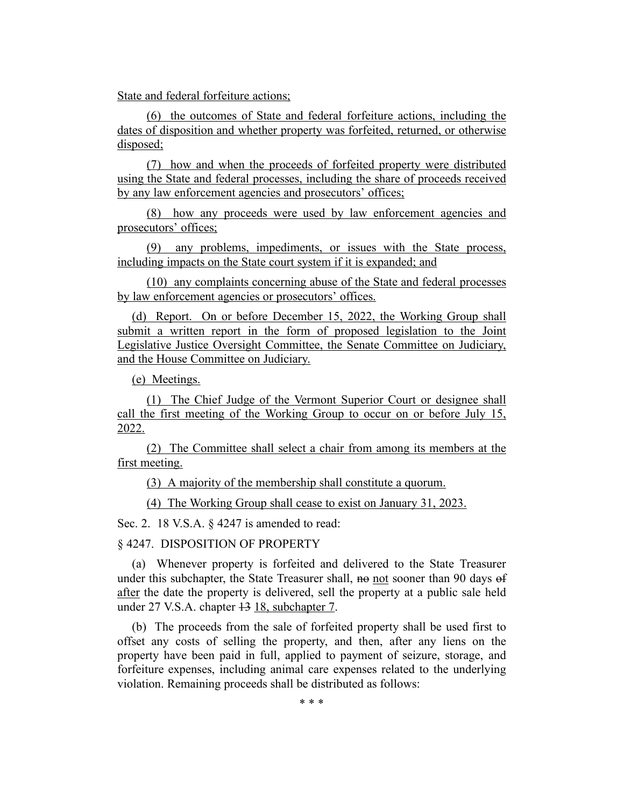State and federal forfeiture actions;

(6) the outcomes of State and federal forfeiture actions, including the dates of disposition and whether property was forfeited, returned, or otherwise disposed;

(7) how and when the proceeds of forfeited property were distributed using the State and federal processes, including the share of proceeds received by any law enforcement agencies and prosecutors' offices;

(8) how any proceeds were used by law enforcement agencies and prosecutors' offices;

(9) any problems, impediments, or issues with the State process, including impacts on the State court system if it is expanded; and

(10) any complaints concerning abuse of the State and federal processes by law enforcement agencies or prosecutors' offices.

(d) Report. On or before December 15, 2022, the Working Group shall submit a written report in the form of proposed legislation to the Joint Legislative Justice Oversight Committee, the Senate Committee on Judiciary, and the House Committee on Judiciary.

(e) Meetings.

(1) The Chief Judge of the Vermont Superior Court or designee shall call the first meeting of the Working Group to occur on or before July 15, 2022.

(2) The Committee shall select a chair from among its members at the first meeting.

(3) A majority of the membership shall constitute a quorum.

(4) The Working Group shall cease to exist on January 31, 2023.

Sec. 2. 18 V.S.A. § 4247 is amended to read:

§ 4247. DISPOSITION OF PROPERTY

(a) Whenever property is forfeited and delivered to the State Treasurer under this subchapter, the State Treasurer shall, no not sooner than 90 days of after the date the property is delivered, sell the property at a public sale held under 27 V.S.A. chapter 13 18, subchapter 7.

(b) The proceeds from the sale of forfeited property shall be used first to offset any costs of selling the property, and then, after any liens on the property have been paid in full, applied to payment of seizure, storage, and forfeiture expenses, including animal care expenses related to the underlying violation. Remaining proceeds shall be distributed as follows:

\* \* \*